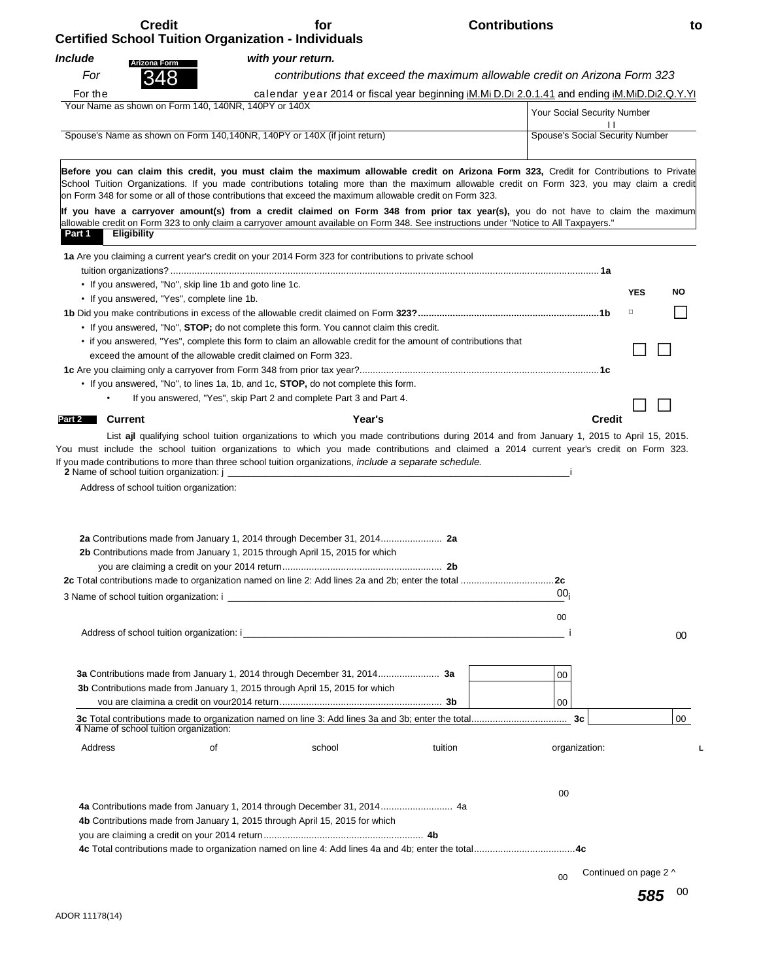| <b>Credit</b>                                        | for<br><b>Certified School Tuition Organization - Individuals</b>                                                                                                                                                                                                                                                                                                                                                                                                                                                                      | <b>Contributions</b>                                                                         | to               |
|------------------------------------------------------|----------------------------------------------------------------------------------------------------------------------------------------------------------------------------------------------------------------------------------------------------------------------------------------------------------------------------------------------------------------------------------------------------------------------------------------------------------------------------------------------------------------------------------------|----------------------------------------------------------------------------------------------|------------------|
| Include                                              | with your return.                                                                                                                                                                                                                                                                                                                                                                                                                                                                                                                      |                                                                                              |                  |
| <b>Arizona Form</b><br>For<br>348                    |                                                                                                                                                                                                                                                                                                                                                                                                                                                                                                                                        | contributions that exceed the maximum allowable credit on Arizona Form 323                   |                  |
| For the                                              |                                                                                                                                                                                                                                                                                                                                                                                                                                                                                                                                        | calendar year 2014 or fiscal year beginning iM.Mi D.DI 2.0.1.41 and ending iM.MiD.Di2.Q.Y.YI |                  |
| Your Name as shown on Form 140, 140NR, 140PY or 140X |                                                                                                                                                                                                                                                                                                                                                                                                                                                                                                                                        | Your Social Security Number                                                                  |                  |
|                                                      |                                                                                                                                                                                                                                                                                                                                                                                                                                                                                                                                        |                                                                                              |                  |
|                                                      | Spouse's Name as shown on Form 140,140NR, 140PY or 140X (if joint return)                                                                                                                                                                                                                                                                                                                                                                                                                                                              | Spouse's Social Security Number                                                              |                  |
|                                                      | Before you can claim this credit, you must claim the maximum allowable credit on Arizona Form 323, Credit for Contributions to Private<br>School Tuition Organizations. If you made contributions totaling more than the maximum allowable credit on Form 323, you may claim a credit<br>lon Form 348 for some or all of those contributions that exceed the maximum allowable credit on Form 323.<br>If you have a carryover amount(s) from a credit claimed on Form 348 from prior tax year(s), you do not have to claim the maximum |                                                                                              |                  |
| <b>Eligibility</b><br>Part 1                         | allowable credit on Form 323 to only claim a carryover amount available on Form 348. See instructions under "Notice to All Taxpayers."                                                                                                                                                                                                                                                                                                                                                                                                 |                                                                                              |                  |
|                                                      | 1a Are you claiming a current year's credit on your 2014 Form 323 for contributions to private school                                                                                                                                                                                                                                                                                                                                                                                                                                  |                                                                                              |                  |
|                                                      |                                                                                                                                                                                                                                                                                                                                                                                                                                                                                                                                        |                                                                                              |                  |
|                                                      | • If you answered, "No", skip line 1b and goto line 1c.                                                                                                                                                                                                                                                                                                                                                                                                                                                                                |                                                                                              |                  |
| • If you answered, "Yes", complete line 1b.          |                                                                                                                                                                                                                                                                                                                                                                                                                                                                                                                                        |                                                                                              | <b>YES</b><br>NO |
|                                                      |                                                                                                                                                                                                                                                                                                                                                                                                                                                                                                                                        |                                                                                              | $\Box$           |
|                                                      | • If you answered, "No", STOP; do not complete this form. You cannot claim this credit.                                                                                                                                                                                                                                                                                                                                                                                                                                                |                                                                                              |                  |
|                                                      | • if you answered, "Yes", complete this form to claim an allowable credit for the amount of contributions that                                                                                                                                                                                                                                                                                                                                                                                                                         |                                                                                              |                  |
|                                                      | exceed the amount of the allowable credit claimed on Form 323.                                                                                                                                                                                                                                                                                                                                                                                                                                                                         |                                                                                              |                  |
|                                                      |                                                                                                                                                                                                                                                                                                                                                                                                                                                                                                                                        |                                                                                              |                  |
|                                                      | • If you answered, "No", to lines 1a, 1b, and 1c, STOP, do not complete this form.                                                                                                                                                                                                                                                                                                                                                                                                                                                     |                                                                                              |                  |
|                                                      | If you answered, "Yes", skip Part 2 and complete Part 3 and Part 4.                                                                                                                                                                                                                                                                                                                                                                                                                                                                    |                                                                                              |                  |
| <b>Current</b><br>Part 2                             | Year's                                                                                                                                                                                                                                                                                                                                                                                                                                                                                                                                 | <b>Credit</b>                                                                                |                  |
| 2 Name of school tuition organization: j _           | List ajl qualifying school tuition organizations to which you made contributions during 2014 and from January 1, 2015 to April 15, 2015.<br>You must include the school tuition organizations to which you made contributions and claimed a 2014 current year's credit on Form 323.<br>If you made contributions to more than three school tuition organizations, include a separate schedule.                                                                                                                                         |                                                                                              |                  |
| Address of school tuition organization:              |                                                                                                                                                                                                                                                                                                                                                                                                                                                                                                                                        |                                                                                              |                  |
|                                                      | <b>2b</b> Contributions made from January 1, 2015 through April 15, 2015 for which                                                                                                                                                                                                                                                                                                                                                                                                                                                     |                                                                                              |                  |
|                                                      |                                                                                                                                                                                                                                                                                                                                                                                                                                                                                                                                        |                                                                                              |                  |
|                                                      |                                                                                                                                                                                                                                                                                                                                                                                                                                                                                                                                        | 00 <sub>i</sub>                                                                              |                  |
|                                                      |                                                                                                                                                                                                                                                                                                                                                                                                                                                                                                                                        | 00                                                                                           |                  |
|                                                      |                                                                                                                                                                                                                                                                                                                                                                                                                                                                                                                                        |                                                                                              | 00               |
|                                                      |                                                                                                                                                                                                                                                                                                                                                                                                                                                                                                                                        | 00                                                                                           |                  |
|                                                      | 3b Contributions made from January 1, 2015 through April 15, 2015 for which                                                                                                                                                                                                                                                                                                                                                                                                                                                            |                                                                                              |                  |
|                                                      |                                                                                                                                                                                                                                                                                                                                                                                                                                                                                                                                        | $00\,$                                                                                       |                  |

| 4 Name of school tuition organization: |    |                                                                             |         |               | 00 |
|----------------------------------------|----|-----------------------------------------------------------------------------|---------|---------------|----|
| Address                                | οt | school                                                                      | tuition | organization: |    |
|                                        |    |                                                                             |         |               |    |
|                                        |    |                                                                             |         | 00            |    |
|                                        |    |                                                                             |         |               |    |
|                                        |    | 4b Contributions made from January 1, 2015 through April 15, 2015 for which |         |               |    |
|                                        |    |                                                                             |         |               |    |
|                                        |    |                                                                             |         |               |    |

00 Continued on page 2 ^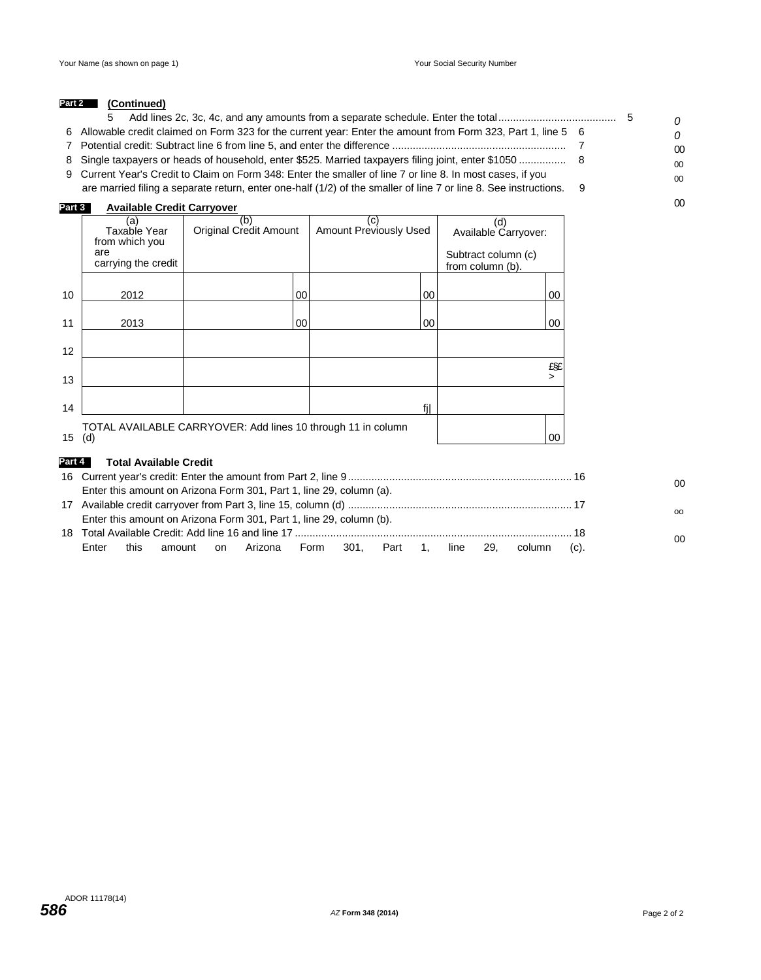#### **(Continued) Part 2**

|                                                                                                                    |  | $\Omega$       |
|--------------------------------------------------------------------------------------------------------------------|--|----------------|
| 6 Allowable credit claimed on Form 323 for the current year: Enter the amount from Form 323, Part 1, line 5 6      |  | $\Omega$       |
|                                                                                                                    |  | 00             |
|                                                                                                                    |  | 0 <sup>0</sup> |
| 9 Current Year's Credit to Claim on Form 348: Enter the smaller of line 7 or line 8. In most cases, if you         |  | $00 \,$        |
| are married filing a separate return, enter one-half (1/2) of the smaller of line 7 or line 8. See instructions. 9 |  |                |
| Available Cradit Carminus<br>$-1$                                                                                  |  | 00             |

#### 16 Current year's credit: Enter the amount from Part 2, line 9............................................................................ 16 Enter this amount on Arizona Form 301, Part 1, line 29, column (a). 17 Available credit carryover from Part 3, line 15, column (d) ............................................................................ 17 Enter this amount on Arizona Form 301, Part 1, line 29, column (b). 18 Total Available Credit: Add line 16 and line 17 .............................................................................................. 18 (a) Taxable Year from which you are carrying the credit (b) Original Credit Amount (c) Amount Previously Used (d) Available Carryover: Subtract column (c) from column (b). 10 2012 00 00 00 11 2013 00 00 00 12 13 £§£ > 14 **f**j  $15$  (d) TOTAL AVAILABLE CARRYOVER: Add lines 10 through 11 in column (d) 00 **Part 3 Available Credit Carryover Part 4 Total Available Credit** 00 oo 00

Enter this amount on Arizona Form 301, Part 1, line 29, column (c).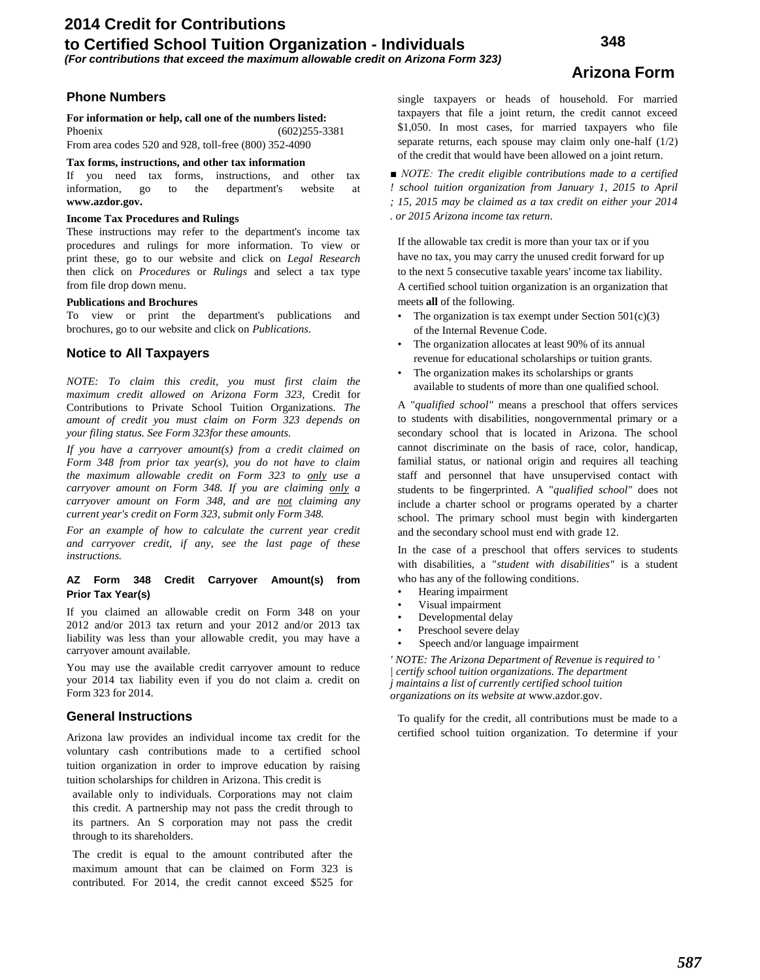# **2014 Credit for Contributions to Certified School Tuition Organization - Individuals**

# **Arizona Form**

**Phone Numbers**

**For information or help, call one of the numbers listed:** Phoenix (602)255-3381

From area codes 520 and 928, toll-free (800) 352-4090

# **Tax forms, instructions, and other tax information**

If you need tax forms, instructions, and other tax information, go to the department's website at **[www.azdor.gov.](http://www.azdor.gov/)**

# **Income Tax Procedures and Rulings**

These instructions may refer to the department's income tax procedures and rulings for more information. To view or print these, go to our website and click on *Legal Research* then click on *Procedures* or *Rulings* and select a tax type from file drop down menu.

#### **Publications and Brochures**

To view or print the department's publications and brochures, go to our website and click on *Publications.*

# **Notice to All Taxpayers**

*NOTE: To claim this credit, you must first claim the maximum credit allowed on Arizona Form 323,* Credit for Contributions to Private School Tuition Organizations. *The amount of credit you must claim on Form 323 depends on your filing status. See Form 323for these amounts.*

*If you have a carryover amount(s) from a credit claimed on Form 348 from prior tax year(s), you do not have to claim the maximum allowable credit on Form 323 to only use a carryover amount on Form 348. If you are claiming only a carryover amount on Form 348, and are not claiming any current year's credit on Form 323, submit only Form 348.*

*For an example of how to calculate the current year credit and carryover credit, if any, see the last page of these instructions.*

#### **AZ Form 348 Credit Carryover Amount(s) from Prior Tax Year(s)**

If you claimed an allowable credit on Form 348 on your 2012 and/or 2013 tax return and your 2012 and/or 2013 tax liability was less than your allowable credit, you may have a carryover amount available.

You may use the available credit carryover amount to reduce your 2014 tax liability even if you do not claim a. credit on Form 323 for 2014.

# **General Instructions**

Arizona law provides an individual income tax credit for the voluntary cash contributions made to a certified school tuition organization in order to improve education by raising tuition scholarships for children in Arizona. This credit is

available only to individuals. Corporations may not claim this credit. A partnership may not pass the credit through to its partners. An S corporation may not pass the credit through to its shareholders.

The credit is equal to the amount contributed after the maximum amount that can be claimed on Form 323 is contributed. For 2014, the credit cannot exceed \$525 for single taxpayers or heads of household. For married taxpayers that file a joint return, the credit cannot exceed \$1,050. In most cases, for married taxpayers who file separate returns, each spouse may claim only one-half (1/2) of the credit that would have been allowed on a joint return.

*■ NOTE: The credit eligible contributions made to a certified ! school tuition organization from January 1, 2015 to April ; 15, 2015 may be claimed as a tax credit on either your 2014 . or 2015 Arizona income tax return.*

If the allowable tax credit is more than your tax or if you have no tax, you may carry the unused credit forward for up to the next 5 consecutive taxable years' income tax liability. A certified school tuition organization is an organization that meets **all** of the following.

- The organization is tax exempt under Section  $501(c)(3)$ of the Internal Revenue Code.
- The organization allocates at least 90% of its annual revenue for educational scholarships or tuition grants.
- The organization makes its scholarships or grants available to students of more than one qualified school.

A "*qualified school"* means a preschool that offers services to students with disabilities, nongovernmental primary or a secondary school that is located in Arizona. The school cannot discriminate on the basis of race, color, handicap, familial status, or national origin and requires all teaching staff and personnel that have unsupervised contact with students to be fingerprinted. A "*qualified school"* does not include a charter school or programs operated by a charter school. The primary school must begin with kindergarten and the secondary school must end with grade 12.

In the case of a preschool that offers services to students with disabilities, a "*student with disabilities"* is a student who has any of the following conditions.

- Hearing impairment
- Visual impairment
- Developmental delay
- Preschool severe delay
- Speech and/or language impairment

*' NOTE: The Arizona Department of Revenue is required to ' | certify school tuition organizations. The department j maintains a list of currently certified school tuition organizations on its website at* [www.azdor.gov.](http://www.azdor.gov/)

To qualify for the credit, all contributions must be made to a certified school tuition organization. To determine if your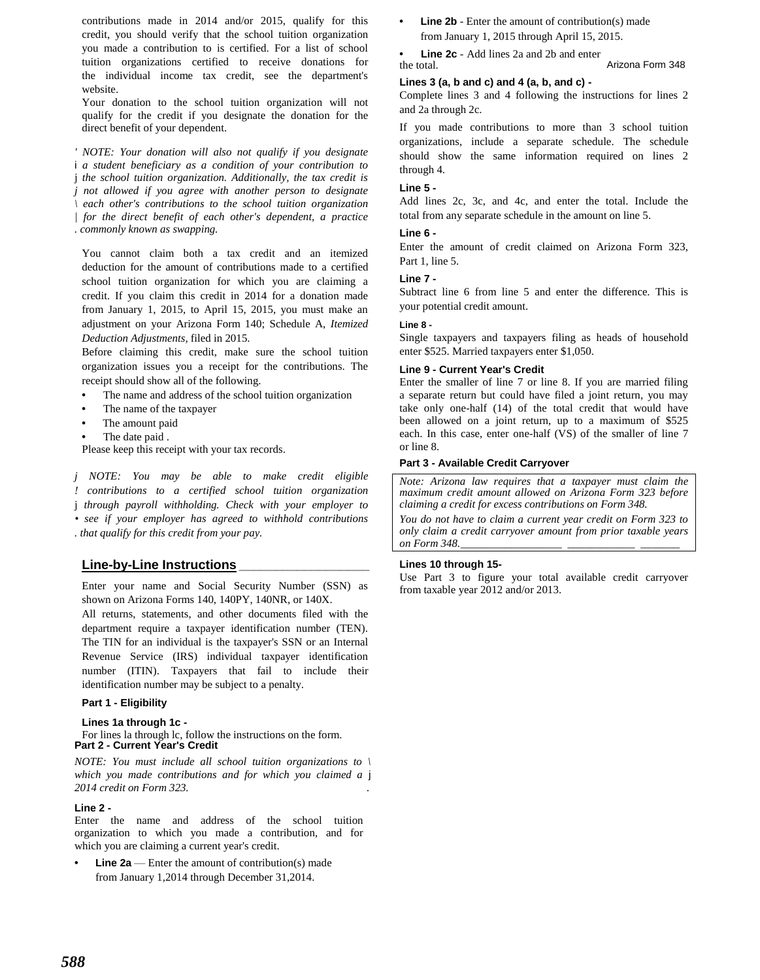contributions made in 2014 and/or 2015, qualify for this credit, you should verify that the school tuition organization you made a contribution to is certified. For a list of school tuition organizations certified to receive donations for the individual income tax credit, see the department's website.

Your donation to the school tuition organization will not qualify for the credit if you designate the donation for the direct benefit of your dependent.

*' NOTE: Your donation will also not qualify if you designate* i *a student beneficiary as a condition of your contribution to* j *the school tuition organization. Additionally, the tax credit is j not allowed if you agree with another person to designate \ each other's contributions to the school tuition organization | for the direct benefit of each other's dependent, a practice*

*. commonly known as swapping.*

You cannot claim both a tax credit and an itemized deduction for the amount of contributions made to a certified school tuition organization for which you are claiming a credit. If you claim this credit in 2014 for a donation made from January 1, 2015, to April 15, 2015, you must make an adjustment on your Arizona Form 140; Schedule A, *Itemized Deduction Adjustments,* filed in 2015.

Before claiming this credit, make sure the school tuition organization issues you a receipt for the contributions. The receipt should show all of the following.

- **•** The name and address of the school tuition organization
- **•** The name of the taxpayer
- **•** The amount paid
- **•** The date paid .

Please keep this receipt with your tax records.

*j NOTE: You may be able to make credit eligible*

*! contributions to a certified school tuition organization*

j *through payroll withholding. Check with your employer to*

*• see if your employer has agreed to withhold contributions . that qualify for this credit from your pay.*

# **Line-by-Line Instructions \_\_\_\_\_\_\_\_\_\_\_\_\_\_\_\_\_\_**

Enter your name and Social Security Number (SSN) as shown on Arizona Forms 140, 140PY, 140NR, or 140X.

All returns, statements, and other documents filed with the department require a taxpayer identification number (TEN). The TIN for an individual is the taxpayer's SSN or an Internal Revenue Service (IRS) individual taxpayer identification number (ITIN). Taxpayers that fail to include their identification number may be subject to a penalty.

# **Part 1 - Eligibility**

#### **Lines 1a through 1c -**

For lines la through lc, follow the instructions on the form. **Part 2 - Current Year's Credit**

*NOTE: You must include all school tuition organizations to \ which you made contributions and for which you claimed a* j *2014 credit on Form 323. .*

#### **Line 2 -**

Enter the name and address of the school tuition organization to which you made a contribution, and for which you are claiming a current year's credit.

**Line 2a** — Enter the amount of contribution(s) made from January 1,2014 through December 31,2014.

**Line 2b** - Enter the amount of contribution(s) made from January 1, 2015 through April 15, 2015.

**• Line 2c** - Add lines 2a and 2b and enter the total. Arizona Form 348

# **Lines 3 (a, b and c) and 4 (a, b, and c) -**

Complete lines 3 and 4 following the instructions for lines 2 and 2a through 2c.

If you made contributions to more than 3 school tuition organizations, include a separate schedule. The schedule should show the same information required on lines 2 through 4.

### **Line 5 -**

Add lines 2c, 3c, and 4c, and enter the total. Include the total from any separate schedule in the amount on line 5.

#### **Line 6 -**

Enter the amount of credit claimed on Arizona Form 323, Part 1, line 5.

# **Line 7 -**

Subtract line 6 from line 5 and enter the difference. This is your potential credit amount.

#### **Line 8 -**

Single taxpayers and taxpayers filing as heads of household enter \$525. Married taxpayers enter \$1,050.

#### **Line 9 - Current Year's Credit**

Enter the smaller of line 7 or line 8. If you are married filing a separate return but could have filed a joint return, you may take only one-half (14) of the total credit that would have been allowed on a joint return, up to a maximum of \$525 each. In this case, enter one-half (VS) of the smaller of line 7 or line 8.

#### **Part 3 - Available Credit Carryover**

*Note: Arizona law requires that a taxpayer must claim the maximum credit amount allowed on Arizona Form 323 before claiming a credit for excess contributions on Form 348.*

*You do not have to claim a current year credit on Form 323 to only claim a credit carryover amount from prior taxable years on Form 348.\_\_\_\_\_\_\_\_\_\_\_\_\_\_\_\_\_\_ \_\_\_\_\_\_\_\_\_\_\_\_ \_\_\_\_\_\_\_*

# **Lines 10 through 15-**

Use Part 3 to figure your total available credit carryover from taxable year 2012 and/or 2013.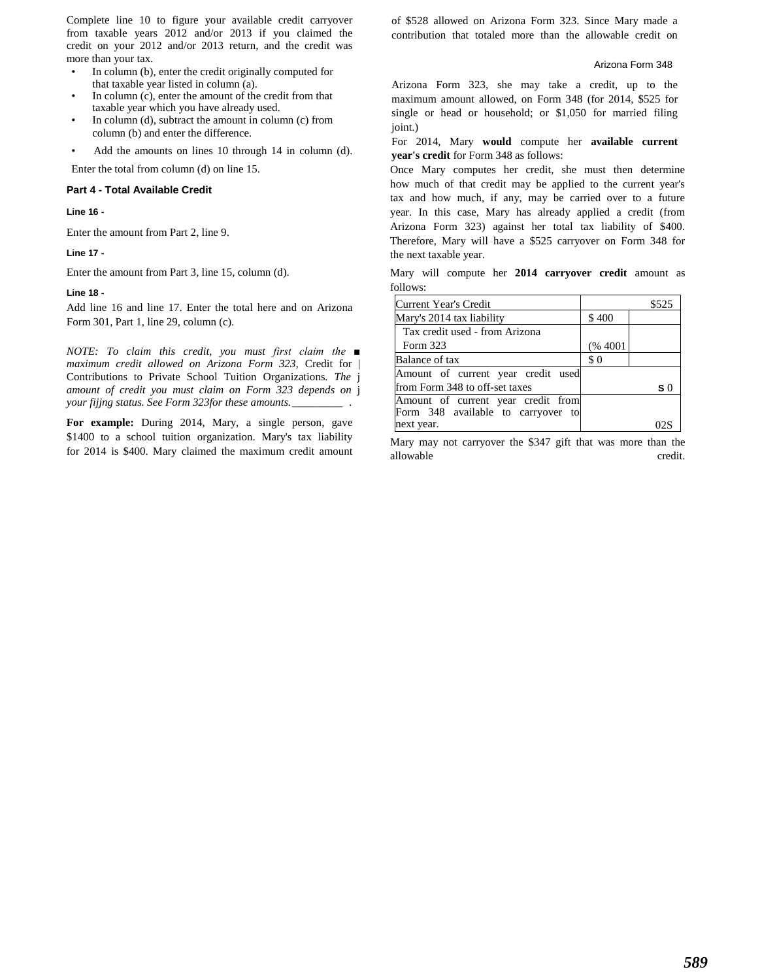Complete line 10 to figure your available credit carryover from taxable years 2012 and/or 2013 if you claimed the credit on your 2012 and/or 2013 return, and the credit was more than your tax.

- In column (b), enter the credit originally computed for that taxable year listed in column (a).
- In column (c), enter the amount of the credit from that taxable year which you have already used.
- In column (d), subtract the amount in column (c) from column (b) and enter the difference.
- Add the amounts on lines 10 through 14 in column (d).

Enter the total from column (d) on line 15.

#### **Part 4 - Total Available Credit**

**Line 16 -**

Enter the amount from Part 2, line 9.

**Line 17 -**

Enter the amount from Part 3, line 15, column (d).

#### **Line 18 -**

Add line 16 and line 17. Enter the total here and on Arizona Form 301, Part 1, line 29, column (c).

*NOTE: To claim this credit, you must first claim the ■ maximum credit allowed on Arizona Form 323,* Credit for | Contributions to Private School Tuition Organizations. *The* j *amount of credit you must claim on Form 323 depends on* j *your fijjng status. See Form 323for these amounts.\_\_\_\_\_\_\_\_\_ .*

**For example:** During 2014, Mary, a single person, gave \$1400 to a school tuition organization. Mary's tax liability for 2014 is \$400. Mary claimed the maximum credit amount of \$528 allowed on Arizona Form 323. Since Mary made a contribution that totaled more than the allowable credit on

#### Arizona Form 348

Arizona Form 323, she may take a credit, up to the maximum amount allowed, on Form 348 (for 2014, \$525 for single or head or household; or \$1,050 for married filing joint.)

For 2014, Mary **would** compute her **available current year's credit** for Form 348 as follows:

Once Mary computes her credit, she must then determine how much of that credit may be applied to the current year's tax and how much, if any, may be carried over to a future year. In this case, Mary has already applied a credit (from Arizona Form 323) against her total tax liability of \$400. Therefore, Mary will have a \$525 carryover on Form 348 for the next taxable year.

Mary will compute her **2014 carryover credit** amount as follows:

| Current Year's Credit              |          | \$525          |
|------------------------------------|----------|----------------|
| Mary's 2014 tax liability          | \$400    |                |
| Tax credit used - from Arizona     |          |                |
| Form 323                           | (% 4001) |                |
| Balance of tax                     | \$0      |                |
| Amount of current year credit used |          |                |
| from Form 348 to off-set taxes     |          | S <sub>0</sub> |
| Amount of current year credit from |          |                |
| Form 348 available to carryover to |          |                |
| next year.                         |          |                |

Mary may not carryover the \$347 gift that was more than the allowable credit.